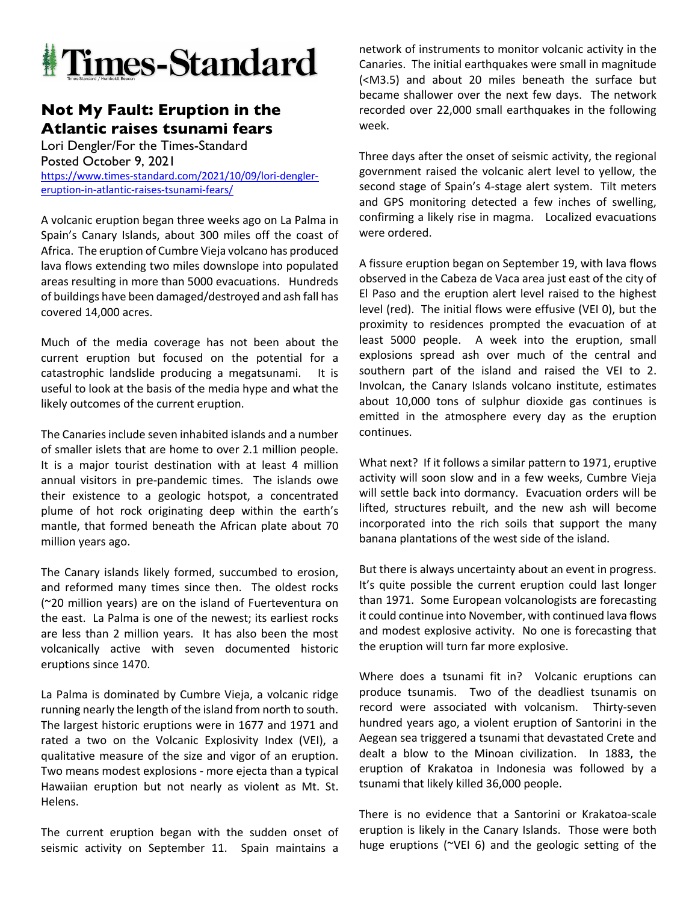

## **Not My Fault: Eruption in the Atlantic raises tsunami fears**

Lori Dengler/For the Times-Standard Posted October 9, 2021 https://www.times-standard.com/2021/10/09/lori-denglereruption-in-atlantic-raises-tsunami-fears/

A volcanic eruption began three weeks ago on La Palma in Spain's Canary Islands, about 300 miles off the coast of Africa. The eruption of Cumbre Vieja volcano has produced lava flows extending two miles downslope into populated areas resulting in more than 5000 evacuations. Hundreds of buildings have been damaged/destroyed and ash fall has covered 14,000 acres.

Much of the media coverage has not been about the current eruption but focused on the potential for a catastrophic landslide producing a megatsunami. It is useful to look at the basis of the media hype and what the likely outcomes of the current eruption.

The Canaries include seven inhabited islands and a number of smaller islets that are home to over 2.1 million people. It is a major tourist destination with at least 4 million annual visitors in pre-pandemic times. The islands owe their existence to a geologic hotspot, a concentrated plume of hot rock originating deep within the earth's mantle, that formed beneath the African plate about 70 million years ago.

The Canary islands likely formed, succumbed to erosion, and reformed many times since then. The oldest rocks (~20 million years) are on the island of Fuerteventura on the east. La Palma is one of the newest; its earliest rocks are less than 2 million years. It has also been the most volcanically active with seven documented historic eruptions since 1470.

La Palma is dominated by Cumbre Vieja, a volcanic ridge running nearly the length of the island from north to south. The largest historic eruptions were in 1677 and 1971 and rated a two on the Volcanic Explosivity Index (VEI), a qualitative measure of the size and vigor of an eruption. Two means modest explosions - more ejecta than a typical Hawaiian eruption but not nearly as violent as Mt. St. Helens.

The current eruption began with the sudden onset of seismic activity on September 11. Spain maintains a network of instruments to monitor volcanic activity in the Canaries. The initial earthquakes were small in magnitude (<M3.5) and about 20 miles beneath the surface but became shallower over the next few days. The network recorded over 22,000 small earthquakes in the following week.

Three days after the onset of seismic activity, the regional government raised the volcanic alert level to yellow, the second stage of Spain's 4-stage alert system. Tilt meters and GPS monitoring detected a few inches of swelling, confirming a likely rise in magma. Localized evacuations were ordered.

A fissure eruption began on September 19, with lava flows observed in the Cabeza de Vaca area just east of the city of El Paso and the eruption alert level raised to the highest level (red). The initial flows were effusive (VEI 0), but the proximity to residences prompted the evacuation of at least 5000 people. A week into the eruption, small explosions spread ash over much of the central and southern part of the island and raised the VEI to 2. Involcan, the Canary Islands volcano institute, estimates about 10,000 tons of sulphur dioxide gas continues is emitted in the atmosphere every day as the eruption continues.

What next? If it follows a similar pattern to 1971, eruptive activity will soon slow and in a few weeks, Cumbre Vieja will settle back into dormancy. Evacuation orders will be lifted, structures rebuilt, and the new ash will become incorporated into the rich soils that support the many banana plantations of the west side of the island.

But there is always uncertainty about an event in progress. It's quite possible the current eruption could last longer than 1971. Some European volcanologists are forecasting it could continue into November, with continued lava flows and modest explosive activity. No one is forecasting that the eruption will turn far more explosive.

Where does a tsunami fit in? Volcanic eruptions can produce tsunamis. Two of the deadliest tsunamis on record were associated with volcanism. Thirty-seven hundred years ago, a violent eruption of Santorini in the Aegean sea triggered a tsunami that devastated Crete and dealt a blow to the Minoan civilization. In 1883, the eruption of Krakatoa in Indonesia was followed by a tsunami that likely killed 36,000 people.

There is no evidence that a Santorini or Krakatoa-scale eruption is likely in the Canary Islands. Those were both huge eruptions (~VEI 6) and the geologic setting of the